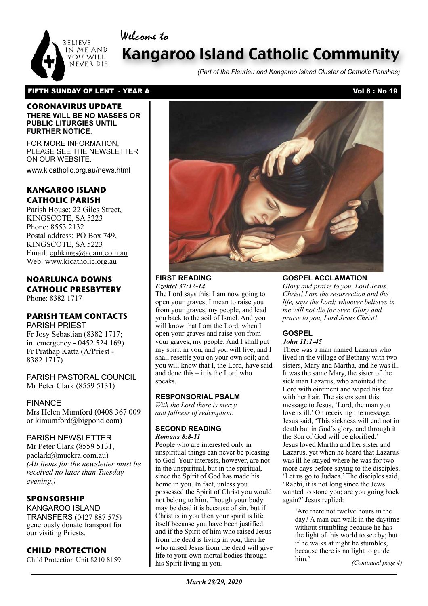

# Kangaroo Island Catholic Community

*(Part of the Fleurieu and Kangaroo Island Cluster of Catholic Parishes)*

## FIFTH SUNDAY OF LENT - YEAR A Vol 8 : No 19

Welcome to

#### **CORONAVIRUS UPDATE THERE WILL BE NO MASSES OR PUBLIC LITURGIES UNTIL FURTHER NOTICE**.

FOR MORE INFORMATION, PLEASE SEE THE NEWSLETTER ON OUR WEBSITE.

www.kicatholic.org.au/news.html

# **KANGAROO ISLAND CATHOLIC PARISH**

Parish House: 22 Giles Street, KINGSCOTE, SA 5223 Phone: 8553 2132 Postal address: PO Box 749, KINGSCOTE, SA 5223 Email: cphkings@adam.com.au Web: www.kicatholic.org.au

# **NOARLUNGA DOWNS CATHOLIC PRESBYTERY**

Phone: 8382 1717

# **PARISH TEAM CONTACTS**

PARISH PRIEST Fr Josy Sebastian (8382 1717; in emergency - 0452 524 169) Fr Prathap Katta (A/Priest - 8382 1717)

PARISH PASTORAL COUNCIL Mr Peter Clark (8559 5131)

FINANCE Mrs Helen Mumford (0408 367 009 or kimumford@bigpond.com)

#### PARISH NEWSLETTER

Mr Peter Clark (8559 5131, paclark@muckra.com.au) *(All items for the newsletter must be received no later than Tuesday evening.)*

## **SPONSORSHIP**

KANGAROO ISLAND TRANSFERS (0427 887 575) generously donate transport for our visiting Priests.

## **CHILD PROTECTION**

Child Protection Unit 8210 8159



#### **FIRST READING** *Ezekiel 37:12-14*

The Lord says this: I am now going to open your graves; I mean to raise you from your graves, my people, and lead you back to the soil of Israel. And you will know that I am the Lord, when I open your graves and raise you from your graves, my people. And I shall put my spirit in you, and you will live, and I shall resettle you on your own soil; and you will know that I, the Lord, have said and done this – it is the Lord who speaks.

#### **RESPONSORIAL PSALM**

*With the Lord there is mercy and fullness of redemption.*

#### **SECOND READING** *Romans 8:8-11*

People who are interested only in unspiritual things can never be pleasing to God. Your interests, however, are not in the unspiritual, but in the spiritual, since the Spirit of God has made his home in you. In fact, unless you possessed the Spirit of Christ you would not belong to him. Though your body may be dead it is because of sin, but if Christ is in you then your spirit is life itself because you have been justified; and if the Spirit of him who raised Jesus from the dead is living in you, then he who raised Jesus from the dead will give life to your own mortal bodies through his Spirit living in you.

## **GOSPEL ACCLAMATION**

*Glory and praise to you, Lord Jesus Christ! I am the resurrection and the life, says the Lord; whoever believes in me will not die for ever. Glory and praise to you, Lord Jesus Christ!*

# **GOSPEL**

## *John 11:1-45*

There was a man named Lazarus who lived in the village of Bethany with two sisters, Mary and Martha, and he was ill. It was the same Mary, the sister of the sick man Lazarus, who anointed the Lord with ointment and wiped his feet with her hair. The sisters sent this message to Jesus, 'Lord, the man you love is ill.' On receiving the message, Jesus said, 'This sickness will end not in death but in God's glory, and through it the Son of God will be glorified.' Jesus loved Martha and her sister and Lazarus, yet when he heard that Lazarus was ill he stayed where he was for two more days before saying to the disciples, 'Let us go to Judaea.' The disciples said, 'Rabbi, it is not long since the Jews wanted to stone you; are you going back again?' Jesus replied:

'Are there not twelve hours in the day? A man can walk in the daytime without stumbling because he has the light of this world to see by; but if he walks at night he stumbles, because there is no light to guide him.' *(Continued page 4)*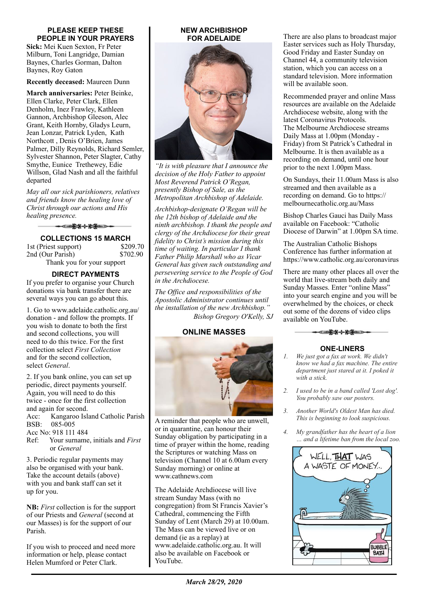#### **PLEASE KEEP THESE PEOPLE IN YOUR PRAYERS**

**Sick:** Mei Kuen Sexton, Fr Peter Milburn, Toni Langridge, Damian Baynes, Charles Gorman, Dalton Baynes, Roy Gaton

**Recently deceased:** Maureen Dunn

**March anniversaries:** Peter Beinke, Ellen Clarke, Peter Clark, Ellen Denholm, Inez Frawley, Kathleen Gannon, Archbishop Gleeson, Alec Grant, Keith Hornby, Gladys Leurn, Jean Lonzar, Patrick Lyden, Kath Northcott , Denis O'Brien, James Palmer, Dilly Reynolds, Richard Semler, Sylvester Shannon, Peter Slagter, Cathy Smythe, Eunice Trethewey, Edie Willson, Glad Nash and all the faithful departed

*May all our sick parishioners, relatives and friends know the healing love of Christ through our actions and His healing presence.*

▅<del>▛</del>▓⊹⋡<del>⋚</del>═⋺⋼

**COLLECTIONS 15 MARCH** 1st (Priest support) \$209.70 2nd (Our Parish) \$702.90 Thank you for your support

## **DIRECT PAYMENTS**

If you prefer to organise your Church donations via bank transfer there are several ways you can go about this.

1. Go to www.adelaide.catholic.org.au/ donation - and follow the prompts. If you wish to donate to both the first and second collections, you will need to do this twice. For the first collection select *First Collection* and for the second collection, select *General*.

2. If you bank online, you can set up periodic, direct payments yourself. Again, you will need to do this twice - once for the first collection and again for second. Acc: Kangaroo Island Catholic Parish BSB: 085-005 Acc No: 918 111 484 Ref: Your surname, initials and *First*

or *General*

3. Periodic regular payments may also be organised with your bank. Take the account details (above) with you and bank staff can set it up for you.

**NB:** *First* collection is for the support of our Priests and *General* (second at our Masses) is for the support of our Parish.

If you wish to proceed and need more information or help, please contact Helen Mumford or Peter Clark.

#### **NEW ARCHBISHOP FOR ADELAIDE**



*"It is with pleasure that I announce the decision of the Holy Father to appoint Most Reverend Patrick O'Regan, presently Bishop of Sale, as the Metropolitan Archbishop of Adelaide.* 

*Archbishop-designate O'Regan will be the 12th bishop of Adelaide and the ninth archbishop. I thank the people and clergy of the Archdiocese for their great fidelity to Christ's mission during this time of waiting. In particular I thank Father Philip Marshall who as Vicar General has given such outstanding and persevering service to the People of God in the Archdiocese.* 

*The Office and responsibilities of the Apostolic Administrator continues until the installation of the new Archbishop." Bishop Gregory O'Kelly, SJ*

#### **ONLINE MASSES**



A reminder that people who are unwell, or in quarantine, can honour their Sunday obligation by participating in a time of prayer within the home, reading the Scriptures or watching Mass on television (Channel 10 at 6.00am every Sunday morning) or online at www.cathnews.com

The Adelaide Archdiocese will live stream Sunday Mass (with no congregation) from St Francis Xavier's Cathedral, commencing the Fifth Sunday of Lent (March 29) at 10.00am. The Mass can be viewed live or on demand (ie as a replay) at www.adelaide.catholic.org.au. It will also be available on Facebook or YouTube.

There are also plans to broadcast major Easter services such as Holy Thursday, Good Friday and Easter Sunday on Channel 44, a community television station, which you can access on a standard television. More information will be available soon.

Recommended prayer and online Mass resources are available on the Adelaide Archdiocese website, along with the latest Coronavirus Protocols. The Melbourne Archdiocese streams Daily Mass at 1.00pm (Monday - Friday) from St Patrick's Cathedral in Melbourne. It is then available as a recording on demand, until one hour prior to the next 1.00pm Mass.

On Sundays, their 11.00am Mass is also streamed and then available as a recording on demand. Go to https:// melbournecatholic.org.au/Mass

Bishop Charles Gauci has Daily Mass available on Facebook: "Catholic Diocese of Darwin" at 1.00pm SA time.

The Australian Catholic Bishops Conference has further information at https://www.catholic.org.au/coronavirus

There are many other places all over the world that live-stream both daily and Sunday Masses. Enter "online Mass" into your search engine and you will be overwhelmed by the choices, or check out some of the dozens of video clips available on YouTube.



#### **ONE-LINERS**

- *1. We just got a fax at work. We didn't know we had a fax machine. The entire department just stared at it. I poked it with a stick.*
- *2. I used to be in a band called 'Lost dog'. You probably saw our posters.*
- *3. Another World's Oldest Man has died. This is beginning to look suspicious.*
- *4. My grandfather has the heart of a lion … and a lifetime ban from the local zoo.*

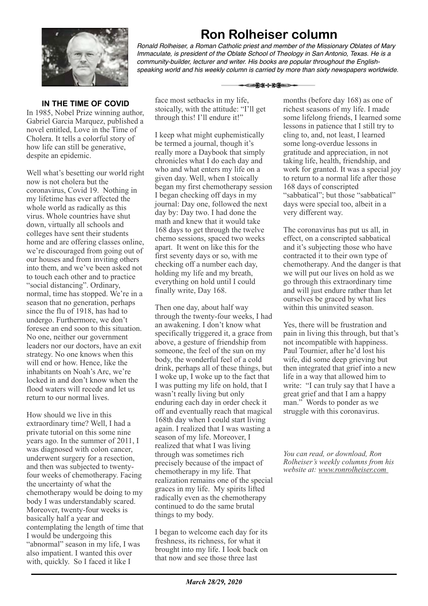

**Ron Rolheiser column** *Ronald Rolheiser, a Roman Catholic priest and member of the Missionary Oblates of Mary Immaculate, is president of the Oblate School of Theology in San Antonio, Texas. He is a community-builder, lecturer and writer. His books are popular throughout the Englishspeaking world and his weekly column is carried by more than sixty newspapers worldwide.*

▅▛▓⊹▓▓▅⋺

## **IN THE TIME OF COVID**

In 1985, Nobel Prize winning author, Gabriel Garcia Marquez, published a novel entitled, Love in the Time of Cholera. It tells a colorful story of how life can still be generative, despite an epidemic.

Well what's besetting our world right now is not cholera but the coronavirus, Covid 19. Nothing in my lifetime has ever affected the whole world as radically as this virus. Whole countries have shut down, virtually all schools and colleges have sent their students home and are offering classes online, we're discouraged from going out of our houses and from inviting others into them, and we've been asked not to touch each other and to practice "social distancing". Ordinary, normal, time has stopped. We're in a season that no generation, perhaps since the flu of 1918, has had to undergo. Furthermore, we don't foresee an end soon to this situation. No one, neither our government leaders nor our doctors, have an exit strategy. No one knows when this will end or how. Hence, like the inhabitants on Noah's Arc, we're locked in and don't know when the flood waters will recede and let us return to our normal lives.

How should we live in this extraordinary time? Well, I had a private tutorial on this some nine years ago. In the summer of 2011, I was diagnosed with colon cancer, underwent surgery for a resection, and then was subjected to twentyfour weeks of chemotherapy. Facing the uncertainty of what the chemotherapy would be doing to my body I was understandably scared. Moreover, twenty-four weeks is basically half a year and contemplating the length of time that I would be undergoing this "abnormal" season in my life, I was also impatient. I wanted this over with, quickly. So I faced it like I

face most setbacks in my life, stoically, with the attitude: "I'll get through this! I'll endure it!"

I keep what might euphemistically be termed a journal, though it's really more a Daybook that simply chronicles what I do each day and who and what enters my life on a given day. Well, when I stoically began my first chemotherapy session I began checking off days in my journal: Day one, followed the next day by: Day two. I had done the math and knew that it would take 168 days to get through the twelve chemo sessions, spaced two weeks apart. It went on like this for the first seventy days or so, with me checking off a number each day, holding my life and my breath, everything on hold until I could finally write, Day 168.

Then one day, about half way through the twenty-four weeks, I had an awakening. I don't know what specifically triggered it, a grace from above, a gesture of friendship from someone, the feel of the sun on my body, the wonderful feel of a cold drink, perhaps all of these things, but I woke up, I woke up to the fact that I was putting my life on hold, that I wasn't really living but only enduring each day in order check it off and eventually reach that magical 168th day when I could start living again. I realized that I was wasting a season of my life. Moreover, I realized that what I was living through was sometimes rich precisely because of the impact of chemotherapy in my life. That realization remains one of the special graces in my life. My spirits lifted radically even as the chemotherapy continued to do the same brutal things to my body.

I began to welcome each day for its freshness, its richness, for what it brought into my life. I look back on that now and see those three last

months (before day 168) as one of richest seasons of my life. I made some lifelong friends, I learned some lessons in patience that I still try to cling to, and, not least, I learned some long-overdue lessons in gratitude and appreciation, in not taking life, health, friendship, and work for granted. It was a special joy to return to a normal life after those 168 days of conscripted "sabbatical"; but those "sabbatical" days were special too, albeit in a very different way.

The coronavirus has put us all, in effect, on a conscripted sabbatical and it's subjecting those who have contracted it to their own type of chemotherapy. And the danger is that we will put our lives on hold as we go through this extraordinary time and will just endure rather than let ourselves be graced by what lies within this uninvited season.

Yes, there will be frustration and pain in living this through, but that's not incompatible with happiness. Paul Tournier, after he'd lost his wife, did some deep grieving but then integrated that grief into a new life in a way that allowed him to write: "I can truly say that I have a great grief and that I am a happy man." Words to ponder as we struggle with this coronavirus.

*You can read, or download, Ron Rolheiser's weekly columns from his website at: www.ronrolheiser.com*